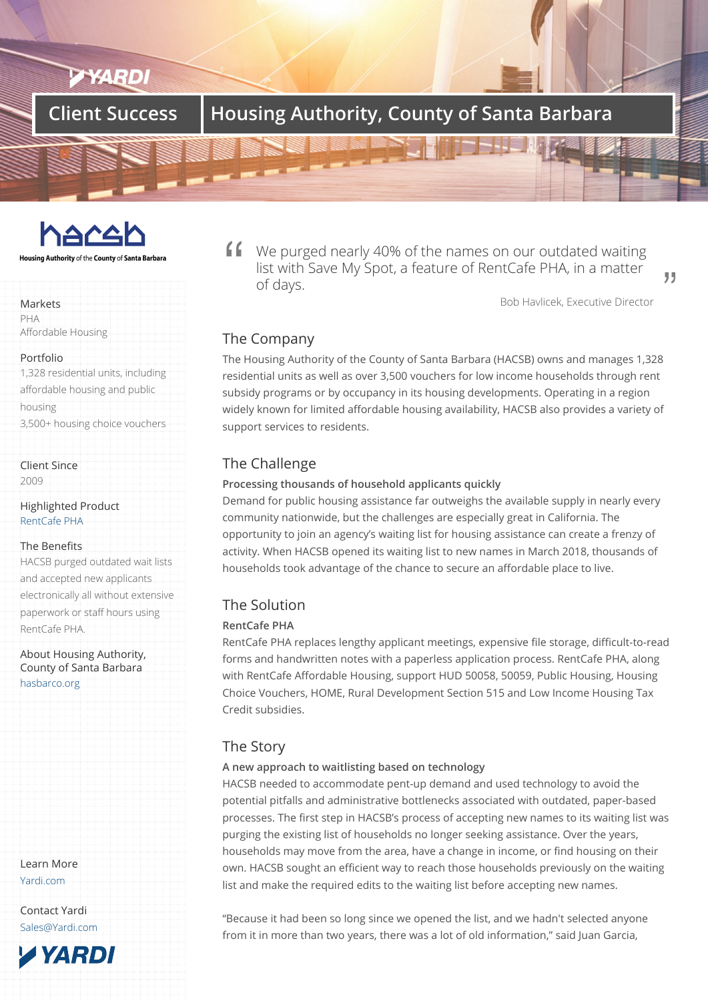# **Client Success Housing Authority, County of Santa Barbara**



Housing Authority of the County of Santa Barbara

#### Markets

PHA Affordable Housing

#### Portfolio

1,328 residential units, including affordable housing and public housing 3,500+ housing choice vouchers

Client Since 2009

Highlighted Product RentCafe PHA

### The Benefits

HACSB purged outdated wait lists [and accepted](/products/rentcafe-pha) new applicants electronically all without extensive paperwork or staff hours using RentCafe PHA.

About Housing Authority, County of Santa Barbara hasbarco.org

Learn More Yardi.com

Contact Yardi Sales@Yardi.com

**TYARDI** 

We purged nearly 40% of the names on our outdated waiting list with Save My Spot, a feature of RentCafe PHA, in a matter of days.

Bob Havlicek, Executive Director

99

## The Company

The Housing Authority of the County of Santa Barbara (HACSB) owns and manages 1,328 residential units as well as over 3,500 vouchers for low income households through rent subsidy programs or by occupancy in its housing developments. Operating in a region widely known for limited affordable housing availability, HACSB also provides a variety of support services to residents.

## The Challenge

### **Processing thousands of household applicants quickly**

Demand for public housing assistance far outweighs the available supply in nearly every community nationwide, but the challenges are especially great in California. The opportunity to join an agency's waiting list for housing assistance can create a frenzy of activity. When HACSB opened its waiting list to new names in March 2018, thousands of households took advantage of the chance to secure an affordable place to live.

## The Solution

### **RentCafe PHA**

RentCafe PHA replaces lengthy applicant meetings, expensive file storage, difficult-to-read forms and handwritten notes with a paperless application process. RentCafe PHA, along with RentCafe Affordable Housing, support HUD 50058, 50059, Public Housing, Housing Choice Vouchers, HOME, Rural Development Section 515 and Low Income Housing Tax Credit subsidies.

## The Story

### **A new approach to waitlisting based on technology**

HACSB needed to accommodate pent-up demand and used technology to avoid the potential pitfalls and administrative bottlenecks associated with outdated, paper-based processes. The first step in HACSB's process of accepting new names to its waiting list was purging the existing list of households no longer seeking assistance. Over the years, households may move from the area, have a change in income, or find housing on their own. HACSB sought an efficient way to reach those households previously on the waiting list and make the required edits to the waiting list before accepting new names.

"Because it had been so long since we opened the list, and we hadn't selected anyone from it in more than two years, there was a lot of old information," said Juan Garcia,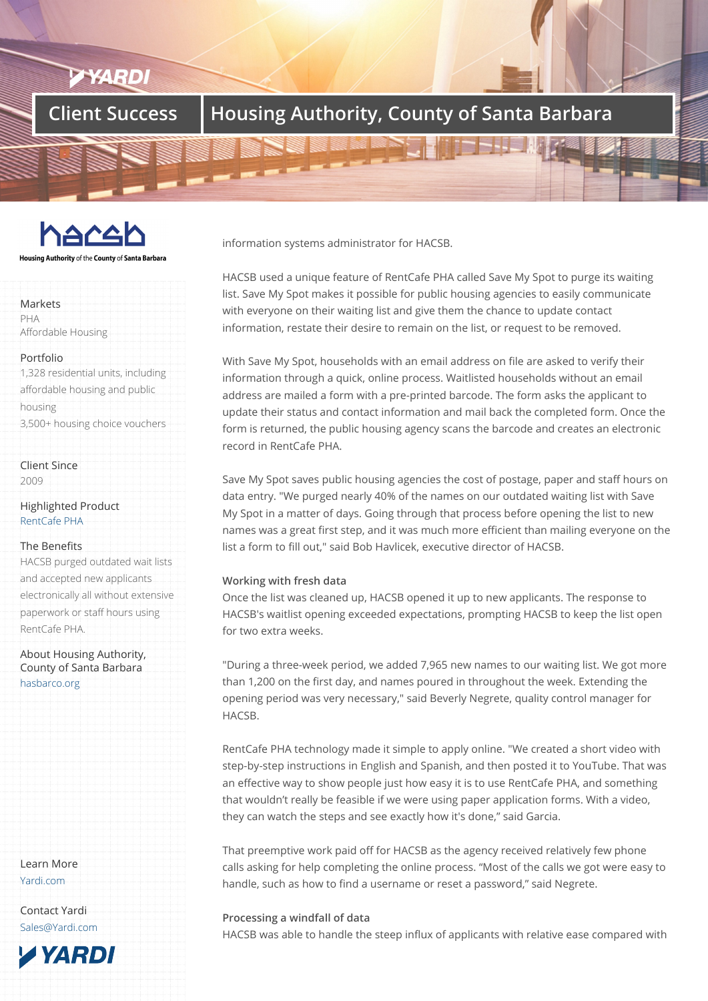# **Client Success Housing Authority, County of Santa Barbara**



Housing Authority of the County of Santa Barbara

#### Markets

PHA Affordable Housing

#### Portfolio

1,328 residential units, including affordable housing and public housing 3,500+ housing choice vouchers

Client Since 2009

Highlighted Product RentCafe PHA

#### The Benefits

HACSB purged outdated wait lists [and accepted](/products/rentcafe-pha) new applicants electronically all without extensive paperwork or staff hours using RentCafe PHA.

About Housing Authority, County of Santa Barbara hasbarco.org

Learn More Yardi.com

Contact Yardi Sales@Yardi.com information systems administrator for HACSB.

HACSB used a unique feature of RentCafe PHA called Save My Spot to purge its waiting list. Save My Spot makes it possible for public housing agencies to easily communicate with everyone on their waiting list and give them the chance to update contact information, restate their desire to remain on the list, or request to be removed.

With Save My Spot, households with an email address on file are asked to verify their information through a quick, online process. Waitlisted households without an email address are mailed a form with a pre-printed barcode. The form asks the applicant to update their status and contact information and mail back the completed form. Once the form is returned, the public housing agency scans the barcode and creates an electronic record in RentCafe PHA.

Save My Spot saves public housing agencies the cost of postage, paper and staff hours on data entry. "We purged nearly 40% of the names on our outdated waiting list with Save My Spot in a matter of days. Going through that process before opening the list to new names was a great first step, and it was much more efficient than mailing everyone on the list a form to fill out," said Bob Havlicek, executive director of HACSB.

### **Working with fresh data**

Once the list was cleaned up, HACSB opened it up to new applicants. The response to HACSB's waitlist opening exceeded expectations, prompting HACSB to keep the list open for two extra weeks.

"During a three-week period, we added 7,965 new names to our waiting list. We got more than 1,200 on the first day, and names poured in throughout the week. Extending the opening period was very necessary," said Beverly Negrete, quality control manager for HACSB.

RentCafe PHA technology made it simple to apply online. "We created a short video with step-by-step instructions in English and Spanish, and then posted it to YouTube. That was an effective way to show people just how easy it is to use RentCafe PHA, and something that wouldn't really be feasible if we were using paper application forms. With a video, they can watch the steps and see exactly how it's done," said Garcia.

That preemptive work paid off for HACSB as the agency received relatively few phone calls asking for help completing the online process. "Most of the calls we got were easy to handle, such as how to find a username or reset a password," said Negrete.

### **Processing a windfall of data**

HACSB was able to handle the steep influx of applicants with relative ease compared with